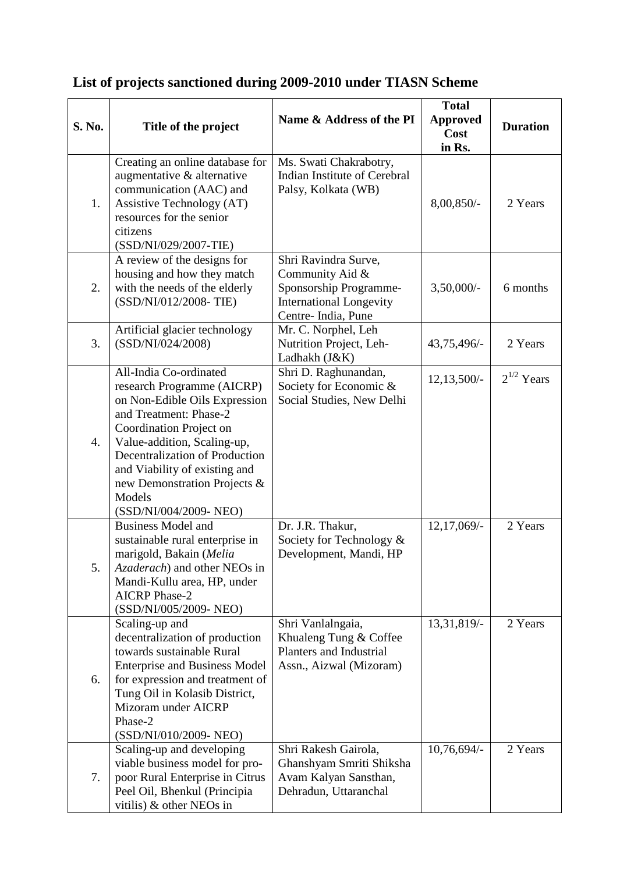| S. No. | Title of the project                                                                                                                                                                                                                                                                                            | Name & Address of the PI                                                                                                  | <b>Total</b><br><b>Approved</b><br>Cost<br>in Rs. | <b>Duration</b> |
|--------|-----------------------------------------------------------------------------------------------------------------------------------------------------------------------------------------------------------------------------------------------------------------------------------------------------------------|---------------------------------------------------------------------------------------------------------------------------|---------------------------------------------------|-----------------|
| 1.     | Creating an online database for<br>augmentative & alternative<br>communication (AAC) and<br>Assistive Technology (AT)<br>resources for the senior<br>citizens<br>(SSD/NI/029/2007-TIE)                                                                                                                          | Ms. Swati Chakrabotry,<br>Indian Institute of Cerebral<br>Palsy, Kolkata (WB)                                             | 8,00,850/-                                        | 2 Years         |
| 2.     | A review of the designs for<br>housing and how they match<br>with the needs of the elderly<br>(SSD/NI/012/2008- TIE)                                                                                                                                                                                            | Shri Ravindra Surve,<br>Community Aid &<br>Sponsorship Programme-<br><b>International Longevity</b><br>Centre-India, Pune | $3,50,000/$ -                                     | 6 months        |
| 3.     | Artificial glacier technology<br>(SSD/NI/024/2008)                                                                                                                                                                                                                                                              | Mr. C. Norphel, Leh<br>Nutrition Project, Leh-<br>Ladhakh (J&K)                                                           | 43,75,496/-                                       | 2 Years         |
| 4.     | All-India Co-ordinated<br>research Programme (AICRP)<br>on Non-Edible Oils Expression<br>and Treatment: Phase-2<br>Coordination Project on<br>Value-addition, Scaling-up,<br>Decentralization of Production<br>and Viability of existing and<br>new Demonstration Projects &<br>Models<br>(SSD/NI/004/2009-NEO) | Shri D. Raghunandan,<br>Society for Economic &<br>Social Studies, New Delhi                                               | $12,13,500/-$                                     | $2^{1/2}$ Years |
| 5.     | <b>Business Model and</b><br>sustainable rural enterprise in<br>marigold, Bakain (Melia<br>Azaderach) and other NEOs in<br>Mandi-Kullu area, HP, under<br><b>AICRP</b> Phase-2<br>(SSD/NI/005/2009-NEO)                                                                                                         | Dr. J.R. Thakur,<br>Society for Technology &<br>Development, Mandi, HP                                                    | 12,17,069/-                                       | 2 Years         |
| 6.     | Scaling-up and<br>decentralization of production<br>towards sustainable Rural<br><b>Enterprise and Business Model</b><br>for expression and treatment of<br>Tung Oil in Kolasib District,<br>Mizoram under AICRP<br>Phase-2<br>(SSD/NI/010/2009- NEO)                                                           | Shri Vanlalngaia,<br>Khualeng Tung & Coffee<br>Planters and Industrial<br>Assn., Aizwal (Mizoram)                         | 13,31,819/-                                       | 2 Years         |
| 7.     | Scaling-up and developing<br>viable business model for pro-<br>poor Rural Enterprise in Citrus<br>Peel Oil, Bhenkul (Principia<br>vitilis) & other NEOs in                                                                                                                                                      | Shri Rakesh Gairola,<br>Ghanshyam Smriti Shiksha<br>Avam Kalyan Sansthan,<br>Dehradun, Uttaranchal                        | 10,76,694/-                                       | 2 Years         |

## **List of projects sanctioned during 2009-2010 under TIASN Scheme**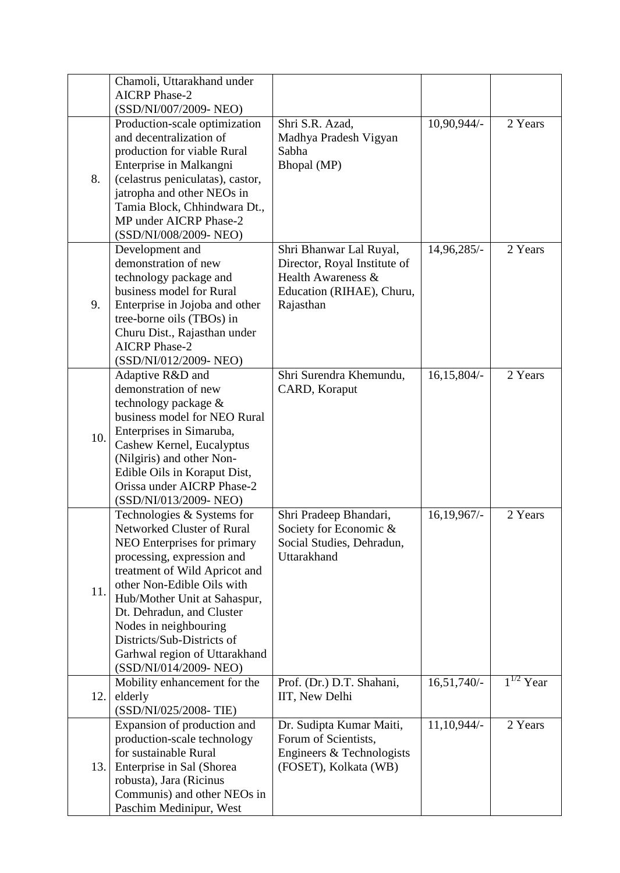|     | Chamoli, Uttarakhand under                             |                              |                  |                           |
|-----|--------------------------------------------------------|------------------------------|------------------|---------------------------|
|     | <b>AICRP</b> Phase-2                                   |                              |                  |                           |
|     | (SSD/NI/007/2009-NEO)                                  |                              |                  |                           |
|     | Production-scale optimization                          | Shri S.R. Azad,              | 10,90,944/-      | 2 Years                   |
|     | and decentralization of                                | Madhya Pradesh Vigyan        |                  |                           |
|     | production for viable Rural                            | Sabha                        |                  |                           |
|     |                                                        | Bhopal (MP)                  |                  |                           |
| 8.  | Enterprise in Malkangni                                |                              |                  |                           |
|     | (celastrus peniculatas), castor,                       |                              |                  |                           |
|     | jatropha and other NEOs in                             |                              |                  |                           |
|     | Tamia Block, Chhindwara Dt.,<br>MP under AICRP Phase-2 |                              |                  |                           |
|     |                                                        |                              |                  |                           |
|     | (SSD/NI/008/2009-NEO)                                  |                              |                  |                           |
|     | Development and                                        | Shri Bhanwar Lal Ruyal,      | $14,96,285/-$    | 2 Years                   |
|     | demonstration of new                                   | Director, Royal Institute of |                  |                           |
|     | technology package and                                 | Health Awareness &           |                  |                           |
|     | business model for Rural                               | Education (RIHAE), Churu,    |                  |                           |
| 9.  | Enterprise in Jojoba and other                         | Rajasthan                    |                  |                           |
|     | tree-borne oils (TBOs) in                              |                              |                  |                           |
|     | Churu Dist., Rajasthan under                           |                              |                  |                           |
|     | <b>AICRP</b> Phase-2                                   |                              |                  |                           |
|     | (SSD/NI/012/2009-NEO)                                  |                              |                  |                           |
|     | Adaptive R&D and                                       | Shri Surendra Khemundu,      | $16, 15, 804/-$  | 2 Years                   |
|     | demonstration of new                                   | CARD, Koraput                |                  |                           |
|     | technology package &                                   |                              |                  |                           |
|     | business model for NEO Rural                           |                              |                  |                           |
| 10. | Enterprises in Simaruba,                               |                              |                  |                           |
|     | Cashew Kernel, Eucalyptus                              |                              |                  |                           |
|     | (Nilgiris) and other Non-                              |                              |                  |                           |
|     | Edible Oils in Koraput Dist,                           |                              |                  |                           |
|     | Orissa under AICRP Phase-2                             |                              |                  |                           |
|     | (SSD/NI/013/2009-NEO)                                  |                              |                  |                           |
|     | Technologies & Systems for                             | Shri Pradeep Bhandari,       | $16, 19, 967/$ - | 2 Years                   |
|     | Networked Cluster of Rural                             | Society for Economic &       |                  |                           |
|     | NEO Enterprises for primary                            | Social Studies, Dehradun,    |                  |                           |
|     | processing, expression and                             | Uttarakhand                  |                  |                           |
|     | treatment of Wild Apricot and                          |                              |                  |                           |
|     | other Non-Edible Oils with                             |                              |                  |                           |
| 11. | Hub/Mother Unit at Sahaspur,                           |                              |                  |                           |
|     | Dt. Dehradun, and Cluster                              |                              |                  |                           |
|     | Nodes in neighbouring                                  |                              |                  |                           |
|     | Districts/Sub-Districts of                             |                              |                  |                           |
|     | Garhwal region of Uttarakhand                          |                              |                  |                           |
|     | (SSD/NI/014/2009-NEO)                                  |                              |                  |                           |
|     | Mobility enhancement for the                           | Prof. (Dr.) D.T. Shahani,    | $16,51,740/-$    | $\overline{1}^{1/2}$ Year |
| 12. | elderly                                                | IIT, New Delhi               |                  |                           |
|     | (SSD/NI/025/2008- TIE)                                 |                              |                  |                           |
|     | Expansion of production and                            | Dr. Sudipta Kumar Maiti,     | $11,10,944/-$    | 2 Years                   |
|     | production-scale technology                            | Forum of Scientists,         |                  |                           |
|     | for sustainable Rural                                  | Engineers & Technologists    |                  |                           |
| 13. | Enterprise in Sal (Shorea                              | (FOSET), Kolkata (WB)        |                  |                           |
|     | robusta), Jara (Ricinus                                |                              |                  |                           |
|     | Communis) and other NEOs in                            |                              |                  |                           |
|     | Paschim Medinipur, West                                |                              |                  |                           |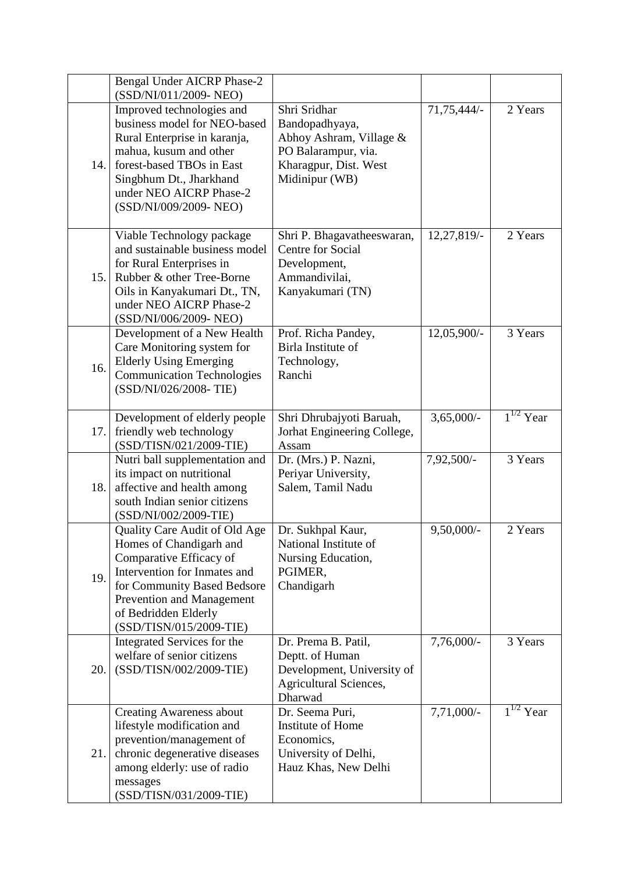|      | <b>Bengal Under AICRP Phase-2</b><br>(SSD/NI/011/2009-NEO)                                                                                                                                                                         |                                                                                                                             |              |                |
|------|------------------------------------------------------------------------------------------------------------------------------------------------------------------------------------------------------------------------------------|-----------------------------------------------------------------------------------------------------------------------------|--------------|----------------|
| 14.1 | Improved technologies and<br>business model for NEO-based<br>Rural Enterprise in karanja,<br>mahua, kusum and other<br>forest-based TBOs in East<br>Singbhum Dt., Jharkhand<br>under NEO AICRP Phase-2<br>(SSD/NI/009/2009-NEO)    | Shri Sridhar<br>Bandopadhyaya,<br>Abhoy Ashram, Village &<br>PO Balarampur, via.<br>Kharagpur, Dist. West<br>Midinipur (WB) | 71,75,444/-  | 2 Years        |
| 15.1 | Viable Technology package<br>and sustainable business model<br>for Rural Enterprises in<br>Rubber & other Tree-Borne<br>Oils in Kanyakumari Dt., TN,<br>under NEO AICRP Phase-2<br>(SSD/NI/006/2009-NEO)                           | Shri P. Bhagavatheeswaran,<br>Centre for Social<br>Development,<br>Ammandivilai,<br>Kanyakumari (TN)                        | 12,27,819/-  | 2 Years        |
| 16.  | Development of a New Health<br>Care Monitoring system for<br><b>Elderly Using Emerging</b><br><b>Communication Technologies</b><br>(SSD/NI/026/2008- TIE)                                                                          | Prof. Richa Pandey,<br>Birla Institute of<br>Technology,<br>Ranchi                                                          | 12,05,900/-  | 3 Years        |
| 17.1 | Development of elderly people<br>friendly web technology<br>(SSD/TISN/021/2009-TIE)                                                                                                                                                | Shri Dhrubajyoti Baruah,<br>Jorhat Engineering College,<br>Assam                                                            | $3,65,000/-$ | $1^{1/2}$ Year |
| 18.  | Nutri ball supplementation and<br>its impact on nutritional<br>affective and health among<br>south Indian senior citizens<br>(SSD/NI/002/2009-TIE)                                                                                 | Dr. (Mrs.) P. Nazni,<br>Periyar University,<br>Salem, Tamil Nadu                                                            | 7,92,500/-   | 3 Years        |
| 19.  | Quality Care Audit of Old Age<br>Homes of Chandigarh and<br>Comparative Efficacy of<br>Intervention for Inmates and<br>for Community Based Bedsore<br>Prevention and Management<br>of Bedridden Elderly<br>(SSD/TISN/015/2009-TIE) | Dr. Sukhpal Kaur,<br>National Institute of<br>Nursing Education,<br>PGIMER,<br>Chandigarh                                   | $9,50,000/-$ | 2 Years        |
| 20.  | Integrated Services for the<br>welfare of senior citizens<br>(SSD/TISN/002/2009-TIE)                                                                                                                                               | Dr. Prema B. Patil,<br>Deptt. of Human<br>Development, University of<br>Agricultural Sciences,<br>Dharwad                   | $7,76,000/-$ | 3 Years        |
| 21.  | <b>Creating Awareness about</b><br>lifestyle modification and<br>prevention/management of<br>chronic degenerative diseases<br>among elderly: use of radio<br>messages<br>(SSD/TISN/031/2009-TIE)                                   | Dr. Seema Puri,<br>Institute of Home<br>Economics,<br>University of Delhi,<br>Hauz Khas, New Delhi                          | $7,71,000/-$ | $1^{1/2}$ Year |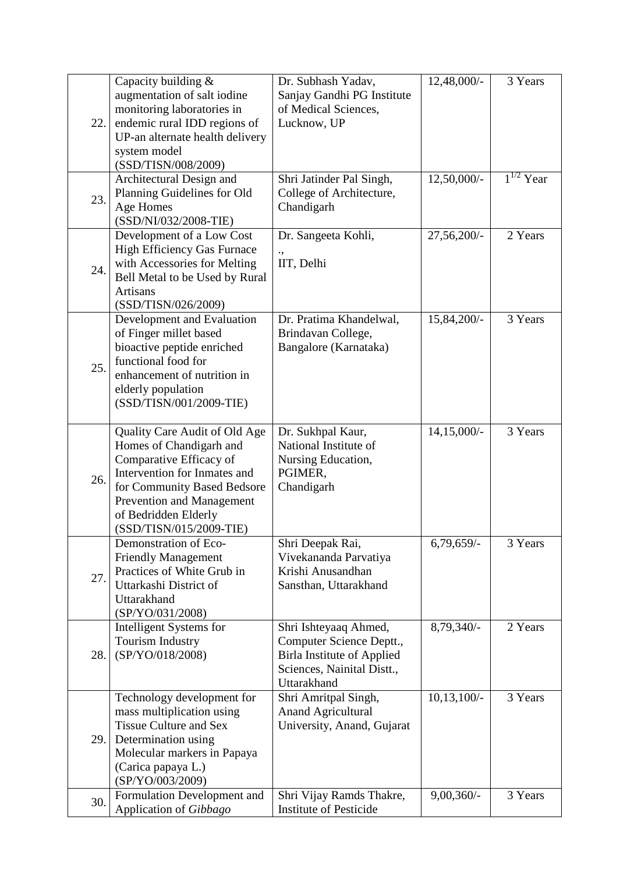|      | Capacity building &                | Dr. Subhash Yadav,                | 12,48,000/-   | 3 Years        |
|------|------------------------------------|-----------------------------------|---------------|----------------|
| 22.  | augmentation of salt iodine        | Sanjay Gandhi PG Institute        |               |                |
|      | monitoring laboratories in         | of Medical Sciences,              |               |                |
|      | endemic rural IDD regions of       | Lucknow, UP                       |               |                |
|      | UP-an alternate health delivery    |                                   |               |                |
|      | system model                       |                                   |               |                |
|      | (SSD/TISN/008/2009)                |                                   |               |                |
|      | Architectural Design and           | Shri Jatinder Pal Singh,          | 12,50,000/-   | $1^{1/2}$ Year |
| 23.  | Planning Guidelines for Old        | College of Architecture,          |               |                |
|      | Age Homes                          | Chandigarh                        |               |                |
|      | (SSD/NI/032/2008-TIE)              |                                   |               |                |
|      | Development of a Low Cost          | Dr. Sangeeta Kohli,               | 27,56,200/-   | 2 Years        |
|      | <b>High Efficiency Gas Furnace</b> |                                   |               |                |
|      | with Accessories for Melting       | IIT, Delhi                        |               |                |
| 24.  | Bell Metal to be Used by Rural     |                                   |               |                |
|      | <b>Artisans</b>                    |                                   |               |                |
|      | (SSD/TISN/026/2009)                |                                   |               |                |
|      | Development and Evaluation         | Dr. Pratima Khandelwal,           | 15,84,200/-   | 3 Years        |
|      | of Finger millet based             | Brindavan College,                |               |                |
|      | bioactive peptide enriched         | Bangalore (Karnataka)             |               |                |
|      | functional food for                |                                   |               |                |
| 25.  | enhancement of nutrition in        |                                   |               |                |
|      | elderly population                 |                                   |               |                |
|      | (SSD/TISN/001/2009-TIE)            |                                   |               |                |
|      |                                    |                                   |               |                |
|      | Quality Care Audit of Old Age      | Dr. Sukhpal Kaur,                 | $14,15,000/-$ | 3 Years        |
|      | Homes of Chandigarh and            | National Institute of             |               |                |
|      | Comparative Efficacy of            | Nursing Education,                |               |                |
|      | Intervention for Inmates and       | PGIMER,                           |               |                |
| 26.  | for Community Based Bedsore        | Chandigarh                        |               |                |
|      | Prevention and Management          |                                   |               |                |
|      | of Bedridden Elderly               |                                   |               |                |
|      | (SSD/TISN/015/2009-TIE)            |                                   |               |                |
|      | Demonstration of Eco-              | Shri Deepak Rai,                  | $6,79,659/-$  | 3 Years        |
|      | <b>Friendly Management</b>         | Vivekananda Parvatiya             |               |                |
|      | Practices of White Grub in         | Krishi Anusandhan                 |               |                |
| 27.  | Uttarkashi District of             | Sansthan, Uttarakhand             |               |                |
|      | Uttarakhand                        |                                   |               |                |
|      | (SP/YO/031/2008)                   |                                   |               |                |
| 28.  | Intelligent Systems for            | Shri Ishteyaaq Ahmed,             | 8,79,340/-    | 2 Years        |
|      | <b>Tourism Industry</b>            | Computer Science Deptt.,          |               |                |
|      | (SP/YO/018/2008)                   | <b>Birla Institute of Applied</b> |               |                |
|      |                                    | Sciences, Nainital Distt.,        |               |                |
|      |                                    | Uttarakhand                       |               |                |
|      | Technology development for         | Shri Amritpal Singh,              | $10,13,100/-$ | 3 Years        |
|      | mass multiplication using          | <b>Anand Agricultural</b>         |               |                |
|      | <b>Tissue Culture and Sex</b>      | University, Anand, Gujarat        |               |                |
| 29.1 | Determination using                |                                   |               |                |
|      | Molecular markers in Papaya        |                                   |               |                |
|      | (Carica papaya L.)                 |                                   |               |                |
|      | (SP/YO/003/2009)                   |                                   |               |                |
| 30.  | Formulation Development and        | Shri Vijay Ramds Thakre,          | $9,00,360/-$  | 3 Years        |
|      | Application of Gibbago             | <b>Institute of Pesticide</b>     |               |                |